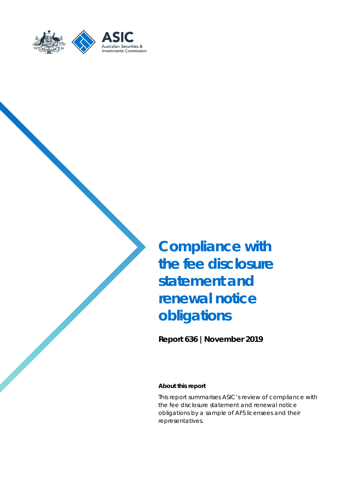

**Compliance with the fee disclosure statement and renewal notice obligations**

**Report 636 |November 2019**

#### **About this report**

This report summarises ASIC's review of compliance with the fee disclosure statement and renewal notice obligations by a sample of AFS licensees and their representatives.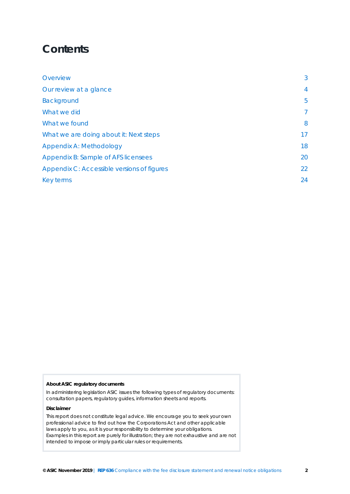## **Contents**

| Overview                                   | 3              |
|--------------------------------------------|----------------|
| Our review at a glance                     | $\overline{4}$ |
| <b>Background</b>                          | 5              |
| What we did                                | $\overline{7}$ |
| What we found                              | 8              |
| What we are doing about it: Next steps     | 17             |
| Appendix A: Methodology                    | 18             |
| Appendix B: Sample of AFS licensees        | 20             |
| Appendix C: Accessible versions of figures | 22             |
| Key terms                                  | 24             |

#### **About ASIC regulatory documents**

In administering legislation ASIC issues the following types of regulatory documents: consultation papers, regulatory guides, information sheets and reports.

#### **Disclaimer**

This report does not constitute legal advice. We encourage you to seek your own professional advice to find out how the Corporations Act and other applicable laws apply to you, as it is your responsibility to determine your obligations. Examples in this report are purely for illustration; they are not exhaustive and are not intended to impose or imply particular rules or requirements.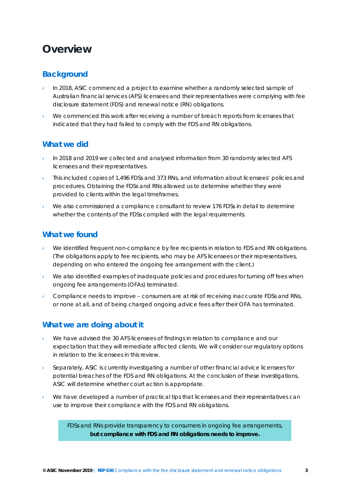## <span id="page-2-0"></span>**Overview**

## **Background**

- In 2018, ASIC commenced a project to examine whether a randomly selected sample of Australian financial services (AFS) licensees and their representatives were complying with fee disclosure statement (FDS) and renewal notice (RN) obligations.
- We commenced this work after receiving a number of breach reports from licensees that indicated that they had failed to comply with the FDS and RN obligations.

## **What we did**

- In 2018 and 2019 we collected and analysed information from 30 randomly selected AFS licensees and their representatives.
- This included copies of 1,496 FDSs and 373 RNs, and information about licensees' policies and procedures. Obtaining the FDSs and RNs allowed us to determine whether they were provided to clients within the legal timeframes.
- We also commissioned a compliance consultant to review 176 FDSs in detail to determine whether the contents of the FDSs complied with the legal requirements.

### **What we found**

- We identified frequent non-compliance by fee recipients in relation to FDS and RN obligations. (The obligations apply to fee recipients, who may be AFS licensees or their representatives, depending on who entered the ongoing fee arrangement with the client.)
- We also identified examples of inadequate policies and procedures for turning off fees when ongoing fee arrangements (OFAs) terminated.
- $\rightarrow$  Compliance needs to improve consumers are at risk of receiving inaccurate FDSs and RNs, or none at all, and of being charged ongoing advice fees after their OFA has terminated.

## **What we are doing about it**

- › We have advised the 30 AFS licensees of findings in relation to compliance and our expectation that they will remediate affected clients. We will consider our regulatory options in relation to the licensees in this review.
- Separately, ASIC is currently investigating a number of other financial advice licensees for potential breaches of the FDS and RN obligations. At the conclusion of these investigations, ASIC will determine whether court action is appropriate.
- We have developed a number of practical tips that licensees and their representatives can use to improve their compliance with the FDS and RN obligations.

*FDSs and RNs provide transparency to consumers in ongoing fee arrangements, but compliance with FDS and RN obligations needs to improve.*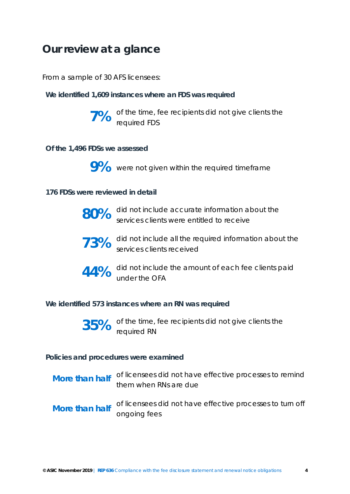## <span id="page-3-0"></span>**Our review at a glance**

*From a sample of 30 AFS licensees:* 

**We identified 1,609 instances where an FDS was required**



**7%** of the time, fee recipients did not give clients the required FDS

### **Of the 1,496 FDSs we assessed**



9% were not given within the required timeframe

### **176 FDSs were reviewed in detail**

| 80% | did not include accurate information about the<br>services clients were entitled to receive |
|-----|---------------------------------------------------------------------------------------------|
|     | 73% did not include all the required information about the services clients received        |
|     | 44% did not include the amount of each fee clients paid<br>under the OFA                    |

### **We identified 573 instances where an RN was required**

**35%** of the time, fee recipients did not give clients the required RN

### **Policies and procedures were examined**

|                | More than half of licensees did not have effective processes to remind<br>them when RNs are due |
|----------------|-------------------------------------------------------------------------------------------------|
| More than half | of licensees did not have effective processes to turn off                                       |

ongoing fees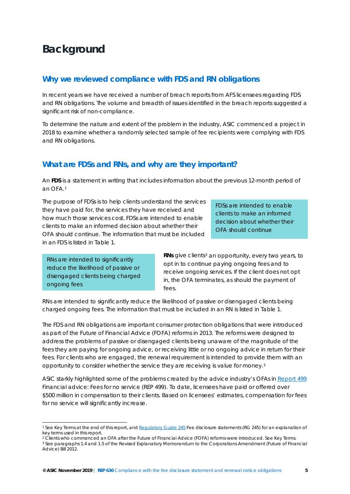## <span id="page-4-0"></span>**Background**

### **Why we reviewed compliance with FDS and RN obligations**

In recent years we have received a number of breach reports from AFS licensees regarding FDS and RN obligations. The volume and breadth of issues identified in the breach reports suggested a significant risk of non-compliance.

To determine the nature and extent of the problem in the industry, ASIC commenced a project in 2018 to examine whether a randomly selected sample of fee recipients were complying with FDS and RN obligations.

### **What are FDSs and RNs, and why are they important?**

An **FDS** is a statement in writing that includes information about the previous 12-month period of an OFA.[1](#page-4-1)

The purpose of FDSs is to help clients understand the services they have paid for, the services they have received and how much those services cost. FDSs are intended to enable clients to make an informed decision about whether their OFA should continue. The information that must be included in an FDS is listed in [Table 1.](#page-5-0)

*FDSs are intended to enable clients to make an informed decision about whether their OFA should continue* 

*RNs are intended to significantly reduce the likelihood of passive or disengaged clients being charged ongoing fees*

-

**RNs** give clients<sup>[2](#page-4-2)</sup> an opportunity, every two years, to opt in to continue paying ongoing fees and to receive ongoing services. If the client does not opt in, the OFA terminates, as should the payment of fees.

RNs are intended to significantly reduce the likelihood of passive or disengaged clients being charged ongoing fees. The information that must be included in an RN is listed in [Table 1.](#page-5-0)

The FDS and RN obligations are important consumer protection obligations that were introduced as part of the Future of Financial Advice (FOFA) reforms in 2013. The reforms were designed to address the problems of passive or disengaged clients being unaware of the magnitude of the fees they are paying for ongoing advice, or receiving little or no ongoing advice in return for their fees. For clients who are engaged, the renewal requirement is intended to provide them with an opportunity to consider whether the service they are receiving is value for money.[3](#page-4-3)

ASIC starkly highlighted some of the problems created by the advice industry's OFAs in [Report 499](https://asic.gov.au/regulatory-resources/find-a-document/reports/rep-499-financial-advice-fees-for-no-service/) *Financial advice: Fees for no service* (REP 499). To date, licensees have paid or offered over \$500 million in compensation to their clients. Based on licensees' estimates, compensation for fees for no service will significantly increase.

<span id="page-4-1"></span><sup>1</sup> See Key Terms at the end of this report, an[d Regulatory Guide 245](https://asic.gov.au/regulatory-resources/find-a-document/regulatory-guides/rg-245-fee-disclosure-statements/) *Fee disclosure statements* (RG 245) for an explanation of key terms used in this report.<br><sup>2</sup> Clients who commenced an OFA after the Future of Financial Advice (FOFA) reforms were introduced. See Key Terms.

<span id="page-4-3"></span><span id="page-4-2"></span><sup>&</sup>lt;sup>3</sup> See paragraphs 1.4 and 1.5 of the Revised Explanatory Memorandum to the Corporations Amendment (Future of Financial Advice) Bill 2012.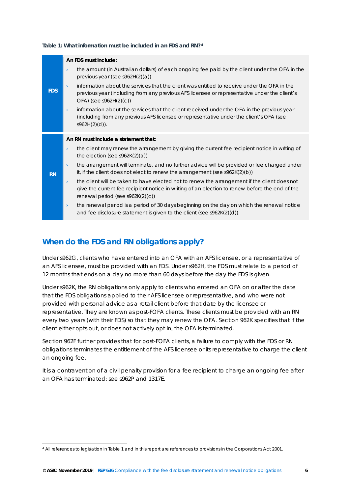|            | An FDS must include:                                                                                                                                                                                                                               |
|------------|----------------------------------------------------------------------------------------------------------------------------------------------------------------------------------------------------------------------------------------------------|
| <b>FDS</b> | the amount (in Australian dollars) of each ongoing fee paid by the client under the OFA in the<br>$\lambda$<br>previous year (see s962H $(2)(a)$ )                                                                                                 |
|            | information about the services that the client was entitled to receive under the OFA in the<br>$\sum_{i=1}^{n}$<br>previous year (including from any previous AFS licensee or representative under the client's<br>$OFA)$ (see s962H(2)(c))        |
|            | information about the services that the client received under the OFA in the previous year<br>$\lambda$<br>(including from any previous AFS licensee or representative under the client's OFA (see<br>$s962H(2)(d)$ ).                             |
|            | An RN must include a statement that:                                                                                                                                                                                                               |
| <b>RN</b>  | the client may renew the arrangement by giving the current fee recipient notice in writing of<br>$\lambda$<br>the election (see $s962K(2)(a)$ )                                                                                                    |
|            | the arrangement will terminate, and no further advice will be provided or fee charged under<br>$\rightarrow$<br>it, if the client does not elect to renew the arrangement (see $s962K(2)(b)$ )                                                     |
|            | the client will be taken to have elected not to renew the arrangement if the client does not<br>$\lambda$<br>give the current fee recipient notice in writing of an election to renew before the end of the<br>renewal period (see $s962K(2)(c)$ ) |
|            | the renewal period is a period of 30 days beginning on the day on which the renewal notice<br>$\lambda$<br>and fee disclosure statement is given to the client (see $s962K(2)(d)$ ).                                                               |

#### <span id="page-5-0"></span>**Table 1: What information must be included in an FDS and RN?[4](#page-5-1)**

## **When do the FDS and RN obligations apply?**

-

Under s962G, clients who have entered into an OFA with an AFS licensee, or a representative of an AFS licensee, must be provided with an FDS. Under s962H, the FDS must relate to a period of 12 months that ends on a day no more than 60 days before the day the FDS is given.

Under s962K, the RN obligations only apply to clients who entered an OFA on or after the date that the FDS obligations applied to their AFS licensee or representative, and who were not provided with personal advice as a retail client before that date by the licensee or representative. They are known as post-FOFA clients. These clients must be provided with an RN every two years (with their FDS) so that they may renew the OFA. Section 962K specifies that if the client either opts out, or does not actively opt in, the OFA is terminated.

Section 962F further provides that for post-FOFA clients, a failure to comply with the FDS or RN obligations terminates the entitlement of the AFS licensee or its representative to charge the client an ongoing fee.

It is a contravention of a civil penalty provision for a fee recipient to charge an ongoing fee after an OFA has terminated: see s962P and 1317E.

<span id="page-5-1"></span><sup>4</sup> All references to legislation i[n Table 1](#page-5-0) and in this report are references to provisions in the *Corporations Act 2001*.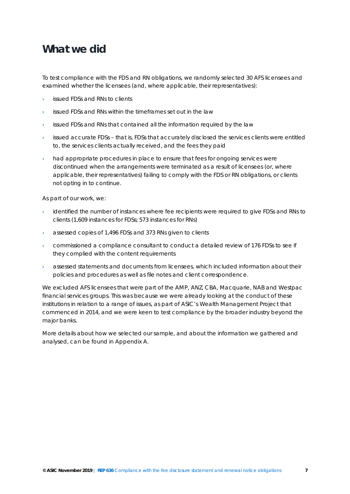## <span id="page-6-0"></span>**What we did**

To test compliance with the FDS and RN obligations, we randomly selected 30 AFS licensees and examined whether the licensees (and, where applicable, their representatives):

- issued FDSs and RNs to clients
- issued FDSs and RNs within the timeframes set out in the law
- issued FDSs and RNs that contained all the information required by the law
- issued accurate FDSs that is, FDSs that accurately disclosed the services clients were entitled to, the services clients actually received, and the fees they paid
- had appropriate procedures in place to ensure that fees for ongoing services were discontinued when the arrangements were terminated as a result of licensees (or, where applicable, their representatives) failing to comply with the FDS or RN obligations, or clients not opting in to continue.

As part of our work, we:

- identified the number of instances where fee recipients were required to give FDSs and RNs to clients (1,609 instances for FDSs; 573 instances for RNs)
- › assessed copies of 1,496 FDSs and 373 RNs given to clients
- › commissioned a compliance consultant to conduct a detailed review of 176 FDSs to see if they complied with the content requirements
- › assessed statements and documents from licensees, which included information about their policies and procedures as well as file notes and client correspondence.

We excluded AFS licensees that were part of the AMP, ANZ, CBA, Macquarie, NAB and Westpac financial services groups. This was because we were already looking at the conduct of these institutions in relation to a range of issues, as part of ASIC's Wealth Management Project that commenced in 2014, and we were keen to test compliance by the broader industry beyond the major banks.

More details about how we selected our sample, and about the information we gathered and analysed, can be found in Appendix A.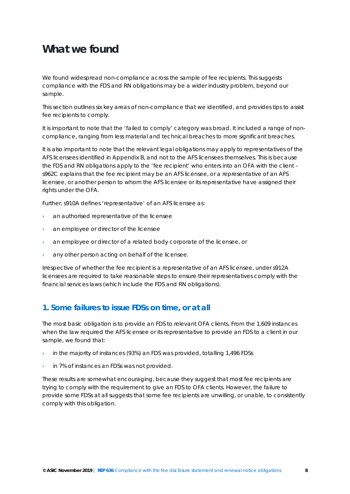## <span id="page-7-0"></span>**What we found**

We found widespread non-compliance across the sample of fee recipients. This suggests compliance with the FDS and RN obligations may be a wider industry problem, beyond our sample.

This section outlines six key areas of non-compliance that we identified, and provides tips to assist fee recipients to comply.

It is important to note that the 'failed to comply' category was broad. It included a range of noncompliance, ranging from less material and technical breaches to more significant breaches.

It is also important to note that the relevant legal obligations may apply to representatives of the AFS licensees identified in Appendix B, and not to the AFS licensees themselves. This is because the FDS and RN obligations apply to the 'fee recipient' who enters into an OFA with the client – s962C explains that the fee recipient may be an AFS licensee, or a representative of an AFS licensee, or another person to whom the AFS licensee or its representative have assigned their rights under the OFA.

Further, s910A defines 'representative' of an AFS licensee as:

- › an authorised representative of the licensee
- an employee or director of the licensee
- an employee or director of a related body corporate of the licensee, or
- › any other person acting on behalf of the licensee.

Irrespective of whether the fee recipient is a representative of an AFS licensee, under s912A licensees are required to take reasonable steps to ensure their representatives comply with the financial services laws (which include the FDS and RN obligations).

## **1. Some failures to issue FDSs on time, or at all**

The most basic obligation is to provide an FDS to relevant OFA clients. From the 1,609 instances when the law required the AFS licensee or its representative to provide an FDS to a client in our sample, we found that:

- $\rightarrow$  in the majority of instances (93%) an FDS was provided, totalling 1,496 FDSs
- › in 7% of instances an FDSs was not provided.

These results are somewhat encouraging, because they suggest that most fee recipients are trying to comply with the requirement to give an FDS to OFA clients. However, the failure to provide some FDSs at all suggests that some fee recipients are unwilling, or unable, to consistently comply with this obligation.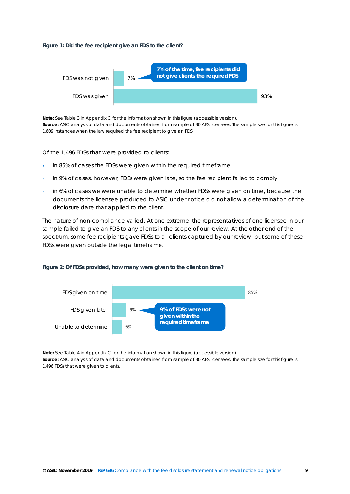#### <span id="page-8-0"></span>**Figure 1: Did the fee recipient give an FDS to the client?**



**Note:** Se[e Table 3](#page-21-1) in Appendix C for the information shown in this figure (accessible version). **Source:** ASIC analysis of data and documents obtained from sample of 30 AFS licensees. The sample size for this figure is 1,609 instances when the law required the fee recipient to give an FDS.

Of the 1,496 FDSs that were provided to clients:

- $\rightarrow$  in 85% of cases the FDSs were given within the required timeframe
- in 9% of cases, however, FDSs were given late, so the fee recipient failed to comply
- in 6% of cases we were unable to determine whether FDSs were given on time, because the documents the licensee produced to ASIC under notice did not allow a determination of the disclosure date that applied to the client.

The nature of non-compliance varied. At one extreme, the representatives of one licensee in our sample failed to give an FDS to *any* clients in the scope of our review. At the other end of the spectrum, some fee recipients gave FDSs to all clients captured by our review, but some of these FDSs were given outside the legal timeframe.

<span id="page-8-1"></span>



**Note:** Se[e Table 4](#page-21-2) in Appendix C for the information shown in this figure (accessible version). **Source:** ASIC analysis of data and documents obtained from sample of 30 AFS licensees. The sample size for this figure is 1,496 FDSs that were given to clients.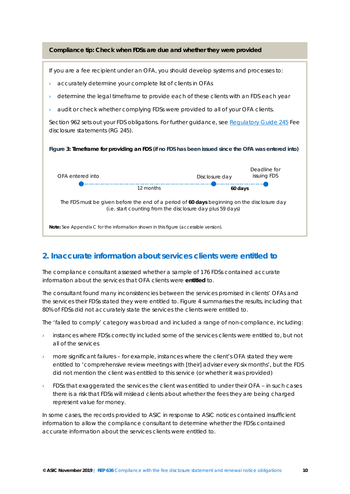<span id="page-9-0"></span>

## **2. Inaccurate information about services clients were entitled to**

The compliance consultant assessed whether a sample of 176 FDSs contained accurate information about the services that OFA clients were **entitled** to.

The consultant found many inconsistencies between the services promised in clients' OFAs and the services their FDSs stated they were entitled to. [Figure 4](#page-10-0) summarises the results, including that 80% of FDSs did not accurately state the services the clients were entitled to.

The 'failed to comply' category was broad and included a range of non-compliance, including:

- instances where FDSs correctly included *some* of the services clients were entitled to, but not *all* of the services
- $\rightarrow$  more significant failures for example, instances where the client's OFA stated they were entitled to 'comprehensive review meetings with [their] adviser every six months', but the FDS did not mention the client was entitled to this service (or whether it was provided)
- › FDSs that exaggerated the services the client was entitled to under their OFA in such cases there is a risk that FDSs will mislead clients about whether the fees they are being charged represent value for money.

In some cases, the records provided to ASIC in response to ASIC notices contained insufficient information to allow the compliance consultant to determine whether the FDSs contained accurate information about the services clients were entitled to.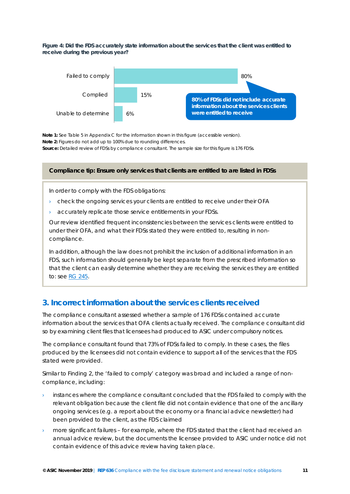<span id="page-10-0"></span>**Figure 4: Did the FDS accurately state information about the services that the client was entitled to receive during the previous year?** 



**Note 1:** Se[e Table 5](#page-21-3) in Appendix C for the information shown in this figure (accessible version). **Note 2:** Figures do not add up to 100% due to rounding differences. **Source:** Detailed review of FDSs by compliance consultant. The sample size for this figure is 176 FDSs.

#### **Compliance tip: Ensure only services that clients are entitled to are listed in FDSs**

In order to comply with the FDS obligations:

- check the ongoing services your clients are entitled to receive under their OFA
- accurately replicate those service entitlements in your FDSs.

Our review identified frequent inconsistencies between the services clients were entitled to under their OFA, and what their FDSs stated they were entitled to, resulting in noncompliance.

In addition, although the law does not prohibit the inclusion of additional information in an FDS, such information should generally be kept separate from the prescribed information so that the client can easily determine whether they are receiving the services they are entitled to: se[e RG 245.](https://asic.gov.au/regulatory-resources/find-a-document/regulatory-guides/rg-245-fee-disclosure-statements/)

## **3. Incorrect information about the services clients received**

The compliance consultant assessed whether a sample of 176 FDSs contained accurate information about the services that OFA clients actually received. The compliance consultant did so by examining client files that licensees had produced to ASIC under compulsory notices.

The compliance consultant found that 73% of FDSs failed to comply. In these cases, the files produced by the licensees did not contain evidence to support all of the services that the FDS stated were provided.

Similar to Finding 2, the 'failed to comply' category was broad and included a range of noncompliance, including:

- instances where the compliance consultant concluded that the FDS failed to comply with the relevant obligation because the client file did not contain evidence that one of the ancillary ongoing services (e.g. a report about the economy or a financial advice newsletter) had been provided to the client, as the FDS claimed
- more significant failures for example, where the FDS stated that the client had received an annual advice review, but the documents the licensee provided to ASIC under notice did not contain evidence of this advice review having taken place.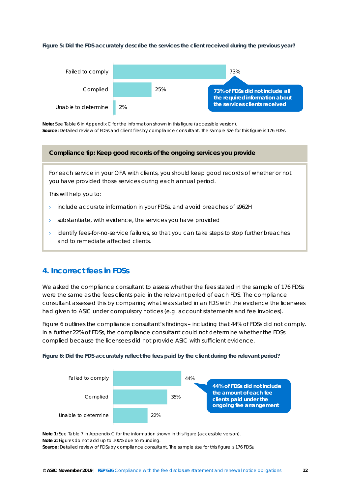#### <span id="page-11-1"></span>**Figure 5: Did the FDS accurately describe the services the client received during the previous year?**



**Note:** Se[e Table 6](#page-21-4) in Appendix C for the information shown in this figure (accessible version). **Source:** Detailed review of FDSs and client files by compliance consultant. The sample size for this figure is 176 FDSs.

#### **Compliance tip: Keep good records of the ongoing services you provide**

For each service in your OFA with clients, you should keep good records of whether or not you have provided those services during each annual period.

This will help you to:

- $\rightarrow$  include accurate information in your FDSs, and avoid breaches of s962H
- $\rightarrow$  substantiate, with evidence, the services you have provided
- › identify fees-for-no-service failures, so that you can take steps to stop further breaches and to remediate affected clients.

### **4. Incorrect fees in FDSs**

We asked the compliance consultant to assess whether the fees stated in the sample of 176 FDSs were the same as the fees clients paid in the relevant period of each FDS. The compliance consultant assessed this by comparing what was stated in an FDS with the evidence the licensees had given to ASIC under compulsory notices (e.g. account statements and fee invoices).

[Figure 6](#page-11-0) outlines the compliance consultant's findings – including that 44% of FDSs did not comply. In a further 22% of FDSs, the compliance consultant could not determine whether the FDSs complied because the licensees did not provide ASIC with sufficient evidence.

<span id="page-11-0"></span>



**Note 1:** Se[e Table 7](#page-22-0) in Appendix C for the information shown in this figure (accessible version). **Note 2:** Figures do not add up to 100% due to rounding. **Source:** Detailed review of FDSs by compliance consultant. The sample size for this figure is 176 FDSs.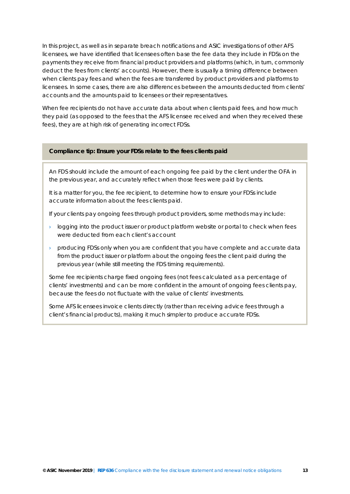In this project, as well as in separate breach notifications and ASIC investigations of other AFS licensees, we have identified that licensees often base the fee data they include in FDSs on the payments they receive from financial product providers and platforms (which, in turn, commonly deduct the fees from clients' accounts). However, there is usually a timing difference between when clients pay fees and when the fees are transferred by product providers and platforms to licensees. In some cases, there are also differences between the amounts deducted from clients' accounts and the amounts paid to licensees or their representatives.

When fee recipients do not have accurate data about when clients paid fees, and how much they paid (as opposed to the fees that the AFS licensee received and when they received these fees), they are at high risk of generating incorrect FDSs.

#### **Compliance tip: Ensure your FDSs relate to the fees clients paid**

An FDS should include the amount of each ongoing fee *paid by the client* under the OFA in the previous year, and accurately reflect *when* those fees were paid by clients.

It is a matter for you, the fee recipient, to determine *how* to ensure your FDSs include accurate information about the fees clients paid.

If your clients pay ongoing fees through product providers, some methods may include:

- $\rightarrow$  logging into the product issuer or product platform website or portal to check when fees were deducted from each client's account
- › producing FDSs only when you are confident that you have complete and accurate data from the product issuer or platform about the ongoing fees the client paid during the previous year (while still meeting the FDS timing requirements).

Some fee recipients charge fixed ongoing fees (not fees calculated as a percentage of clients' investments) and can be more confident in the amount of ongoing fees clients pay, because the fees do not fluctuate with the value of clients' investments.

Some AFS licensees invoice clients directly (rather than receiving advice fees through a client's financial products), making it much simpler to produce accurate FDSs.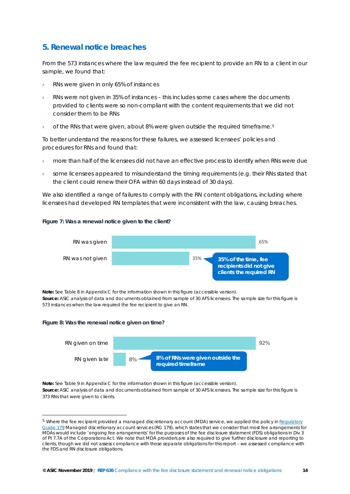## **5. Renewal notice breaches**

From the 573 instances where the law required the fee recipient to provide an RN to a client in our sample, we found that:

- RNs were given in only 65% of instances
- RNs were not given in 35% of instances this includes some cases where the documents provided to clients were so non-compliant with the content requirements that we did not consider them to be RNs
- of the RNs that were given, about 8% were given outside the required timeframe.<sup>[5](#page-13-0)</sup>

To better understand the reasons for these failures, we assessed licensees' policies and procedures for RNs and found that:

- more than half of the licensees did not have an effective process to identify when RNs were due
- some licensees appeared to misunderstand the timing requirements (e.g. their RNs stated that the client could renew their OFA within 60 days instead of 30 days).

We also identified a range of failures to comply with the RN content obligations, including where licensees had developed RN templates that were inconsistent with the law, causing breaches.

#### <span id="page-13-1"></span>**Figure 7: Was a renewal notice given to the client?**



**Note:** Se[e Table 8](#page-22-1) in Appendix C for the information shown in this figure (accessible version).

**Source:** ASIC analysis of data and documents obtained from sample of 30 AFS licensees. The sample size for this figure is 573 instances when the law required the fee recipient to give an RN.

#### <span id="page-13-2"></span>**Figure 8: Was the renewal notice given on time?**

-



**Note:** Se[e Table 9](#page-22-2) in Appendix C for the information shown in this figure (accessible version). **Source:** ASIC analysis of data and documents obtained from sample of 30 AFS licensees. The sample size for this figure is 373 RNs that were given to clients.

<span id="page-13-0"></span> $5$  Where the fee recipient provided a managed discretionary account (MDA) service, we applied the policy in Regulatory [Guide 179](https://asic.gov.au/regulatory-resources/find-a-document/regulatory-guides/rg-179-managed-discretionary-account-services/) *Managed discretionary account services* (RG 179), which states that we consider that most fee arrangements for MDAs would include 'ongoing fee arrangements' for the purposes of the fee disclosure statement (FDS) obligations in Div 3 of Pt 7.7A of the Corporations Act. We note that MDA providers are also required to give further disclosure and reporting to clients, though we did not assess compliance with those separate obligations for this report – we assessed compliance with the FDS and RN disclosure obligations.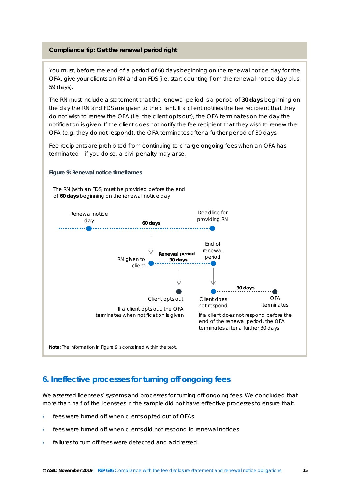#### **Compliance tip: Get the renewal period right**

You must, before the end of a period of 60 days beginning on the renewal notice day for the OFA, give your clients an RN and an FDS (i.e. start counting from the renewal notice day plus 59 days).

The RN must include a statement that the renewal period is a period of **30 days** beginning on the day the RN and FDS are given to the client. If a client notifies the fee recipient that they do not wish to renew the OFA (i.e. the client opts out), the OFA terminates on the day the notification is given. If the client does not notify the fee recipient that they wish to renew the OFA (e.g. they do not respond), the OFA terminates after a further period of 30 days.

Fee recipients are prohibited from continuing to charge ongoing fees when an OFA has terminated – if you do so, a civil penalty may arise.

<span id="page-14-0"></span>

### **6. Ineffective processes for turning off ongoing fees**

We assessed licensees' systems and processes for turning off ongoing fees. We concluded that more than half of the licensees in the sample did not have effective processes to ensure that:

- fees were turned off when clients opted out of OFAs
- fees were turned off when clients did not respond to renewal notices
- failures to turn off fees were detected and addressed.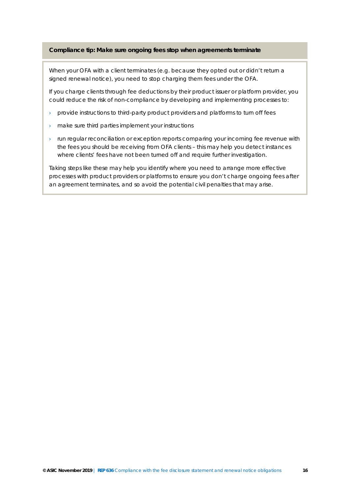#### **Compliance tip: Make sure ongoing fees stop when agreements terminate**

When your OFA with a client terminates (e.g. because they opted out or didn't return a signed renewal notice), you need to stop charging them fees under the OFA.

If you charge clients through fee deductions by their product issuer or platform provider, you could reduce the risk of non-compliance by developing and implementing processes to:

- › provide instructions to third-party product providers and platforms to turn off fees
- › make sure third parties implement your instructions
- › run regular reconciliation or exception reports comparing your incoming fee revenue with the fees you should be receiving from OFA clients – this may help you detect instances where clients' fees have not been turned off and require further investigation.

Taking steps like these may help you identify where you need to arrange more effective processes with product providers or platforms to ensure you don't charge ongoing fees after an agreement terminates, and so avoid the potential civil penalties that may arise.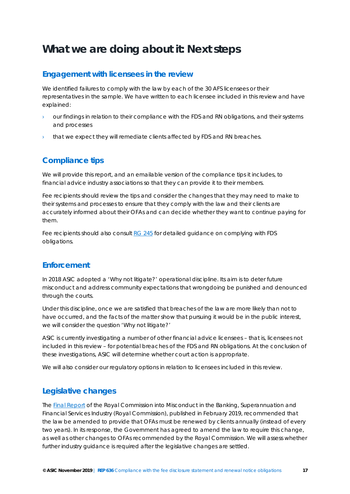## <span id="page-16-0"></span>**What we are doing about it: Next steps**

## **Engagement with licensees in the review**

We identified failures to comply with the law by each of the 30 AFS licensees or their representatives in the sample. We have written to each licensee included in this review and have explained:

- our findings in relation to their compliance with the FDS and RN obligations, and their systems and processes
- that we expect they will remediate clients affected by FDS and RN breaches.

## **Compliance tips**

We will provide this report, and an emailable version of the compliance tips it includes, to financial advice industry associations so that they can provide it to their members.

Fee recipients should review the tips and consider the changes that they may need to make to their systems and processes to ensure that they comply with the law and their clients are accurately informed about their OFAs and can decide whether they want to continue paying for them.

Fee recipients should also consult [RG 245](https://asic.gov.au/regulatory-resources/find-a-document/regulatory-guides/rg-245-fee-disclosure-statements/) for detailed guidance on complying with FDS obligations.

## **Enforcement**

In 2018 ASIC adopted a 'Why not litigate?' operational discipline. Its aim is to deter future misconduct and address community expectations that wrongdoing be punished and denounced through the courts.

Under this discipline, once we are satisfied that breaches of the law are more likely than not to have occurred, and the facts of the matter show that pursuing it would be in the public interest, we will consider the question 'Why not litigate?'

ASIC is currently investigating a number of other financial advice licensees – that is, licensees not included in this review – for potential breaches of the FDS and RN obligations. At the conclusion of these investigations, ASIC will determine whether court action is appropriate.

We will also consider our regulatory options in relation to licensees included in this review.

## **Legislative changes**

Th[e Final Report](https://financialservices.royalcommission.gov.au/Pages/default.aspx) of the *Royal Commission into Misconduct in the Banking, Superannuation and Financial Services Industry* (Royal Commission), published in February 2019, recommended that the law be amended to provide that OFAs must be renewed by clients annually (instead of every two years). In its response, the Government has agreed to amend the law to require this change, as well as other changes to OFAs recommended by the Royal Commission. We will assess whether further industry guidance is required after the legislative changes are settled.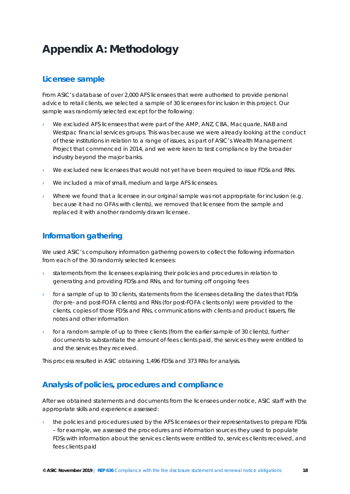# <span id="page-17-0"></span>**Appendix A: Methodology**

## **Licensee sample**

From ASIC's database of over 2,000 AFS licensees that were authorised to provide personal advice to retail clients, we selected a sample of 30 licensees for inclusion in this project. Our sample was randomly selected except for the following:

- We excluded AFS licensees that were part of the AMP, ANZ, CBA, Macquarie, NAB and Westpac financial services groups. This was because we were already looking at the conduct of these institutions in relation to a range of issues, as part of ASIC's Wealth Management Project that commenced in 2014, and we were keen to test compliance by the broader industry beyond the major banks.
- We excluded new licensees that would not yet have been required to issue FDSs and RNs.
- We included a mix of small, medium and large AFS licensees.
- Where we found that a licensee in our original sample was not appropriate for inclusion (e.g. because it had no OFAs with clients), we removed that licensee from the sample and replaced it with another randomly drawn licensee.

## **Information gathering**

We used ASIC's compulsory information gathering powers to collect the following information from each of the 30 randomly selected licensees:

- statements from the licensees explaining their policies and procedures in relation to generating and providing FDSs and RNs, and for turning off ongoing fees
- for a sample of up to 30 clients, statements from the licensees detailing the dates that FDSs (for pre- and post-FOFA clients) and RNs (for post-FOFA clients only) were provided to the clients, copies of those FDSs and RNs, communications with clients and product issuers, file notes and other information
- $\rightarrow$  for a random sample of up to three clients (from the earlier sample of 30 clients), further documents to substantiate the amount of fees clients paid, the services they were entitled to and the services they received.

This process resulted in ASIC obtaining 1,496 FDSs and 373 RNs for analysis.

## **Analysis of policies, procedures and compliance**

After we obtained statements and documents from the licensees under notice, ASIC staff with the appropriate skills and experience assessed:

the policies and procedures used by the AFS licensees or their representatives to prepare FDSs – for example, we assessed the procedures and information sources they used to populate FDSs with information about the services clients were entitled to, services clients received, and fees clients paid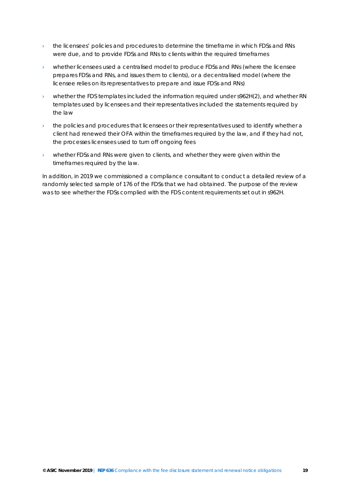- $\rightarrow$  the licensees' policies and procedures to determine the timeframe in which FDSs and RNs were due, and to provide FDSs and RNs to clients within the required timeframes
- › whether licensees used a centralised model to produce FDSs and RNs (where the licensee prepares FDSs and RNs, and issues them to clients), or a decentralised model (where the licensee relies on its representatives to prepare and issue FDSs and RNs)
- $\rightarrow$  whether the FDS templates included the information required under s962H(2), and whether RN templates used by licensees and their representatives included the statements required by the law
- the policies and procedures that licensees or their representatives used to identify whether a client had renewed their OFA within the timeframes required by the law, and if they had not, the processes licensees used to turn off ongoing fees
- › whether FDSs and RNs were given to clients, and whether they were given within the timeframes required by the law.

In addition, in 2019 we commissioned a compliance consultant to conduct a detailed review of a randomly selected sample of 176 of the FDSs that we had obtained. The purpose of the review was to see whether the FDSs complied with the FDS content requirements set out in s962H.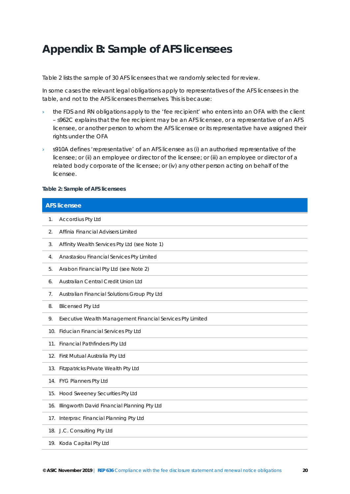## <span id="page-19-0"></span>**Appendix B: Sample of AFS licensees**

[Table 2](#page-19-1) lists the sample of 30 AFS licensees that we randomly selected for review.

In some cases the relevant legal obligations apply to representatives of the AFS licensees in the table, and not to the AFS licensees themselves. This is because:

- the FDS and RN obligations apply to the 'fee recipient' who enters into an OFA with the client – s962C explains that the fee recipient may be an AFS licensee, or a representative of an AFS licensee, or another person to whom the AFS licensee or its representative have assigned their rights under the OFA
- $\rightarrow$  s910A defines 'representative' of an AFS licensee as (i) an authorised representative of the licensee; or (ii) an employee or director of the licensee; or (iii) an employee or director of a related body corporate of the licensee; or (iv) any other person acting on behalf of the licensee.

#### <span id="page-19-1"></span>**Table 2: Sample of AFS licensees**

| <b>AFS licensee</b> |                                                            |
|---------------------|------------------------------------------------------------|
| 1.                  | Accordius Pty Ltd                                          |
| 2.                  | Affinia Financial Advisers Limited                         |
| 3.                  | Affinity Wealth Services Pty Ltd (see Note 1)              |
| 4.                  | Anastasiou Financial Services Pty Limited                  |
| 5.                  | Arabon Financial Pty Ltd (see Note 2)                      |
| 6.                  | Australian Central Credit Union Ltd                        |
| 7.                  | Australian Financial Solutions Group Pty Ltd               |
| 8.                  | <b>Blicensed Pty Ltd</b>                                   |
| 9.                  | Executive Wealth Management Financial Services Pty Limited |
|                     | 10. Fiducian Financial Services Pty Ltd                    |
|                     | 11. Financial Pathfinders Pty Ltd                          |
|                     | 12. First Mutual Australia Pty Ltd                         |
|                     | 13. Fitzpatricks Private Wealth Pty Ltd                    |
|                     | 14. FYG Planners Pty Ltd                                   |
|                     | 15. Hood Sweeney Securities Pty Ltd                        |
|                     | 16. Illingworth David Financial Planning Pty Ltd           |
| 17.                 | Interprac Financial Planning Pty Ltd                       |
|                     | 18. J.C. Consulting Pty Ltd                                |
|                     | 19. Koda Capital Pty Ltd                                   |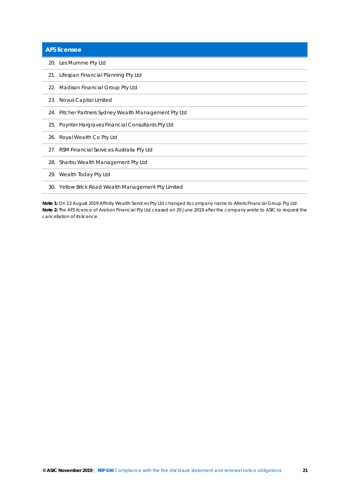| <b>AFS licensee</b>                                   |
|-------------------------------------------------------|
| 20. Les Mumme Pty Ltd                                 |
| 21. Lifespan Financial Planning Pty Ltd               |
| 22. Madison Financial Group Pty Ltd                   |
| 23. Novus Capital Limited                             |
| 24. Pitcher Partners Sydney Wealth Management Pty Ltd |
| 25. Poynter Hargraves Financial Consultants Pty Ltd   |
| 26. Royal Wealth Co Pty Ltd                           |
| 27. RSM Financial Services Australia Pty Ltd          |
| 28. Shartru Wealth Management Pty Ltd                 |
| 29. Wealth Today Pty Ltd                              |
| 30. Yellow Brick Road Wealth Management Pty Limited   |
|                                                       |

**Note 1:** On 13 August 2019 Affinity Wealth Services Pty Ltd changed its company name to Alteris Financial Group Pty Ltd. **Note 2:** The AFS licence of Arabon Financial Pty Ltd ceased on 20 June 2019 after the company wrote to ASIC to request the cancellation of its licence.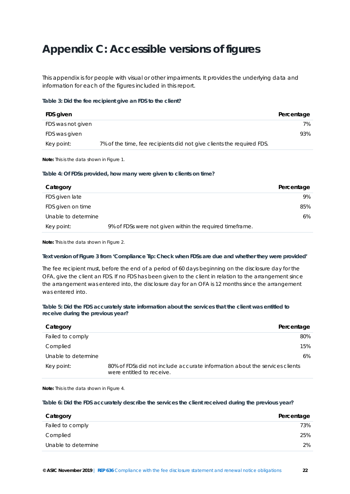## <span id="page-21-0"></span>**Appendix C: Accessible versions of figures**

This appendix is for people with visual or other impairments. It provides the underlying data and information for each of the figures included in this report.

#### <span id="page-21-1"></span>**Table 3: Did the fee recipient give an FDS to the client?**

| FDS given         |                                                                       | Percentage |
|-------------------|-----------------------------------------------------------------------|------------|
| FDS was not given |                                                                       | 7%         |
| FDS was given     |                                                                       | 93%        |
| Key point:        | 7% of the time, fee recipients did not give clients the required FDS. |            |

**Note:** This is the data shown in [Figure 1.](#page-8-0)

#### <span id="page-21-2"></span>**Table 4: Of FDSs provided, how many were given to clients on time?**

| Category            |                                                          | Percentage |
|---------------------|----------------------------------------------------------|------------|
| FDS given late      |                                                          | 9%         |
| FDS given on time   |                                                          | 85%        |
| Unable to determine |                                                          | 6%         |
| Key point:          | 9% of FDSs were not given within the required timeframe. |            |

**Note:** This is the data shown in [Figure 2.](#page-8-1)

#### **Text version of [Figure 3](#page-9-0) from 'Compliance Tip: Check when FDSs are due and whether they were provided'**

The fee recipient must, before the end of a period of 60 days beginning on the disclosure day for the OFA, give the client an FDS. If no FDS has been given to the client in relation to the arrangement since the arrangement was entered into, the disclosure day for an OFA is 12 months since the arrangement was entered into.

#### <span id="page-21-3"></span>**Table 5: Did the FDS accurately state information about the services that the client was entitled to receive during the previous year?**

| Category            | Percentage                                                                                               |  |
|---------------------|----------------------------------------------------------------------------------------------------------|--|
| Failed to comply    | 80%                                                                                                      |  |
| Complied            | 15%                                                                                                      |  |
| Unable to determine | 6%                                                                                                       |  |
| Key point:          | 80% of FDSs did not include accurate information about the services clients<br>were entitled to receive. |  |

**Note:** This is the data shown in [Figure 4.](#page-10-0)

#### <span id="page-21-4"></span>**Table 6: Did the FDS accurately describe the services the client received during the previous year?**

| Category            | Percentage |
|---------------------|------------|
| Failed to comply    | 73%        |
| Complied            | 25%        |
| Unable to determine | 2%         |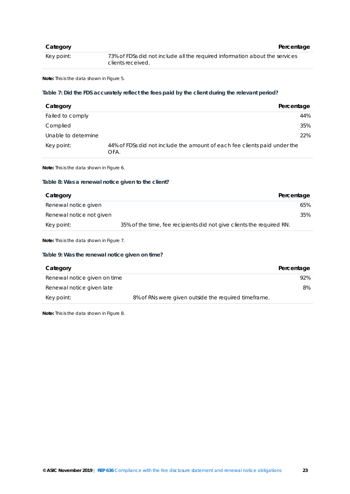| Category   | Percentage                                                                                       |
|------------|--------------------------------------------------------------------------------------------------|
| Key point: | 73% of FDSs did not include all the required information about the services<br>clients received. |

**Note:** This is the data shown in [Figure 5.](#page-11-1)

#### <span id="page-22-0"></span>**Table 7: Did the FDS accurately reflect the fees paid by the client during the relevant period?**

| Category            | Percentage                                                                        |
|---------------------|-----------------------------------------------------------------------------------|
| Failed to comply    | 44%                                                                               |
| Complied            | 35%                                                                               |
| Unable to determine | 22%                                                                               |
| Key point:          | 44% of FDSs did not include the amount of each fee clients paid under the<br>OFA. |

**Note:** This is the data shown in [Figure 6.](#page-11-0)

#### <span id="page-22-1"></span>**Table 8: Was a renewal notice given to the client?**

| Category                 | Percentage                                                            |     |
|--------------------------|-----------------------------------------------------------------------|-----|
| Renewal notice given     |                                                                       | 65% |
| Renewal notice not given |                                                                       | 35% |
| Key point:               | 35% of the time, fee recipients did not give clients the required RN. |     |

**Note:** This is the data shown in [Figure 7.](#page-13-1)

#### <span id="page-22-2"></span>**Table 9: Was the renewal notice given on time?**

| Category                     |                                                      | Percentage |
|------------------------------|------------------------------------------------------|------------|
| Renewal notice given on time |                                                      | 92%        |
| Renewal notice given late    |                                                      | 8%         |
| Key point:                   | 8% of RNs were given outside the required timeframe. |            |

**Note:** This is the data shown in [Figure 8.](#page-13-2)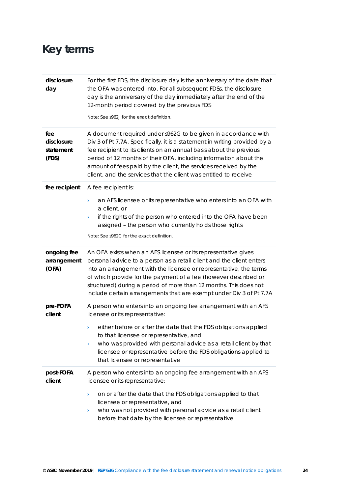# <span id="page-23-0"></span>**Key terms**

| disclosure<br>day                       | For the first FDS, the disclosure day is the anniversary of the date that<br>the OFA was entered into. For all subsequent FDSs, the disclosure<br>day is the anniversary of the day immediately after the end of the<br>12-month period covered by the previous FDS<br>Note: See s962J for the exact definition.                                                                                                               |
|-----------------------------------------|--------------------------------------------------------------------------------------------------------------------------------------------------------------------------------------------------------------------------------------------------------------------------------------------------------------------------------------------------------------------------------------------------------------------------------|
| fee<br>disclosure<br>statement<br>(FDS) | A document required under s962G to be given in accordance with<br>Div 3 of Pt 7.7A. Specifically, it is a statement in writing provided by a<br>fee recipient to its clients on an annual basis about the previous<br>period of 12 months of their OFA, including information about the<br>amount of fees paid by the client, the services received by the<br>client, and the services that the client was entitled to receive |
| fee recipient                           | A fee recipient is:<br>an AFS licensee or its representative who enters into an OFA with<br>$\lambda$<br>a client, or<br>if the rights of the person who entered into the OFA have been<br>١<br>assigned - the person who currently holds those rights<br>Note: See s962C for the exact definition.                                                                                                                            |
| ongoing fee<br>arrangement<br>(OFA)     | An OFA exists when an AFS licensee or its representative gives<br>personal advice to a person as a retail client and the client enters<br>into an arrangement with the licensee or representative, the terms<br>of which provide for the payment of a fee (however described or<br>structured) during a period of more than 12 months. This does not<br>include certain arrangements that are exempt under Div 3 of Pt 7.7A    |
| pre-FOFA<br>client                      | A person who enters into an ongoing fee arrangement with an AFS<br>licensee or its representative:<br>either before or after the date that the FDS obligations applied<br>$\,$<br>to that licensee or representative, and<br>who was provided with personal advice as a retail client by that<br>$\,$<br>licensee or representative before the FDS obligations applied to<br>that licensee or representative                   |
| post-FOFA<br>client                     | A person who enters into an ongoing fee arrangement with an AFS<br>licensee or its representative:<br>on or after the date that the FDS obligations applied to that<br>$\lambda$<br>licensee or representative, and<br>who was not provided with personal advice as a retail client<br>Y<br>before that date by the licensee or representative                                                                                 |